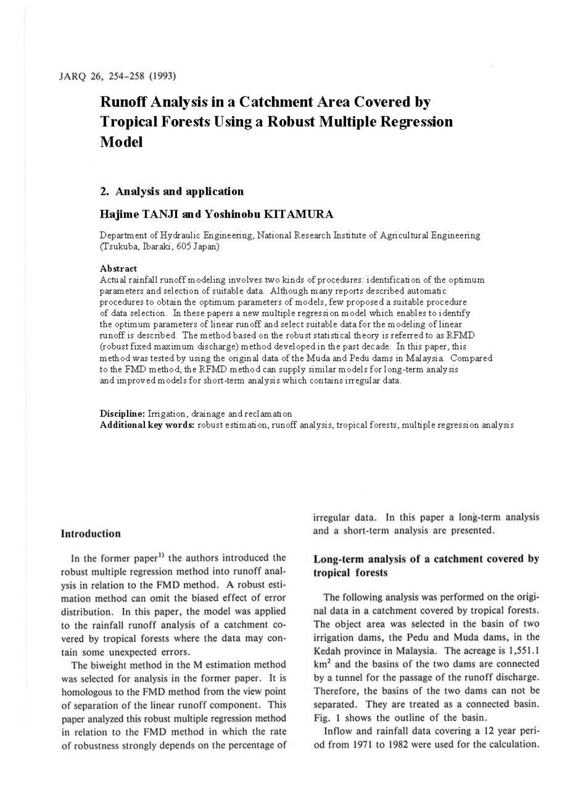# **Runoff Analysis in a Catchment Area Covered by Tropical Forests Using a Robust Multiple Regression Model**

# **2. Analysis and application**

## **Hajime TANJI and Yoshinobu KITAMURA**

Department of Hydraulic Engineering, National Research Institute of Agricultural Engineering (Tsukuba, Ibaraki, 605 Japan)

### **Abstract**

Actual rainfall runoff modeling involves two kinds of procedures: identification of the optimum parameters and selection of suitable data. Although many reports described automatic procedures to obtain the optimum parameters of models, few proposed a suitable procedure of data selection. In these papers a new multiple regression model which enables to identify the optimum parameters of linear runoff and select suitable data for the modeling of linear runoff is described. The method based on the robust statistical theory is referred to as RFMD (robust fixed maximum discharge) method developed in the past decade. In this paper, this method was tested by using the original data of the Muda and Pedu dams in Malaysia. Compared to the FMD method, the RFMD method can supply similar models for long-term analysis and improved models for short-term analysis which contains irregular data.

**Discipline:** Irrigation, drainage and reclamation **Additional key words:** robust estimation, runoff analysis, tropical forests, multiple regression analysis

#### **Introduction**

In the former paper<sup>1)</sup> the authors introduced the robust multiple regression method into runoff analysis in relation to the FMD method. A robust estimation method can omit the biased effect of error distribution. In this paper, the model was applied to the rainfall runoff analysis of a catchment covered by tropical forests where the data may contain some unexpected errors.

The biweight method in the M estimation method was selected for analysis in the former paper. It is homologous to the FMD method from the view point of separation of the linear runoff component. This paper analyzed this robust multiple regression method in relation to the FMD method in which the rate of robustness strongly depends on the percentage of irregular data. In this paper a long-term analysis and a short-term analysis are presented.

# **Long-term analysis of a catchment covered by tropical forests**

The following analysis was performed on the original data in a catchment covered by tropical forests. The object area was selected in the basin of two irrigation dams, the Pedu and Muda dams, in the Kedah province in Malaysia. The acreage is 1,551.1 km<sup>2</sup> and the basins of the two dams are connected by a tunnel for the passage of the runoff discharge. Therefore, the basins of the two dams can not be separated. They are treated as a connected basin. Fig. I shows the outline of the basin.

Inflow and rainfall data covering a 12 year period from 1971 to 1982 were used for the calculation.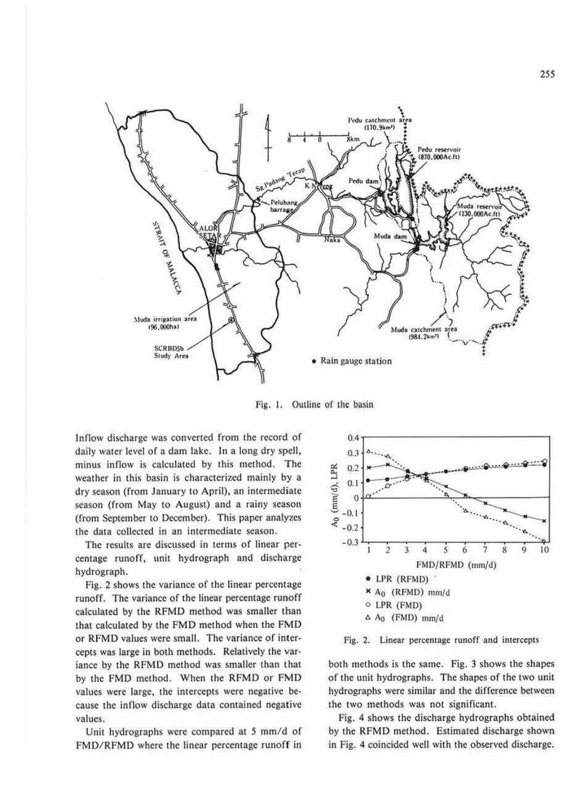

Fig. 1. Outline of the basin

Inflow discharge was converted from the record of daily water level of a dam lake. In a long dry spell, minus inflow is calculated by this method. The weather in this basin is characterized mainly by a dry season (from January to April), an intermediate season (from May to August) and a rainy season (from Seplember 10 December). This paper analyzes the data collected in an intermediate season.

The results are discussed in terms of linear percentage runoff, unit hydrograph and discharge hydrograph.

Fig. 2 shows the variance of the linear percentage runoff. The variance of the linear percentage runoff calculated by the RFMD method was smaller than that calculated by the FMD method when the FMD or RFMD values were small. The variance of intercepts was large in both methods. Relatively the variance by the RFMD method was smaller than that by the FMD method. When the RFMD or FMD values were large, the intercepts were negative because the inflow discharge data contained negative values.

Uni1 hydrographs were compared at *5* mm/d of FMD/RFMD where the linear percentage runoff in



Fig. 2. Linear percentage runoff and intercepts

both methods is the same. Fig. 3 shows the shapes of the unit hydrographs. The shapes of the two unit hydrographs were similar and the difference between the two methods was not significant.

Fig. 4 shows the discharge hydrographs obtained by the RFMD method. Estimated discharge shown in Fig. 4 coincided well with the observed discharge.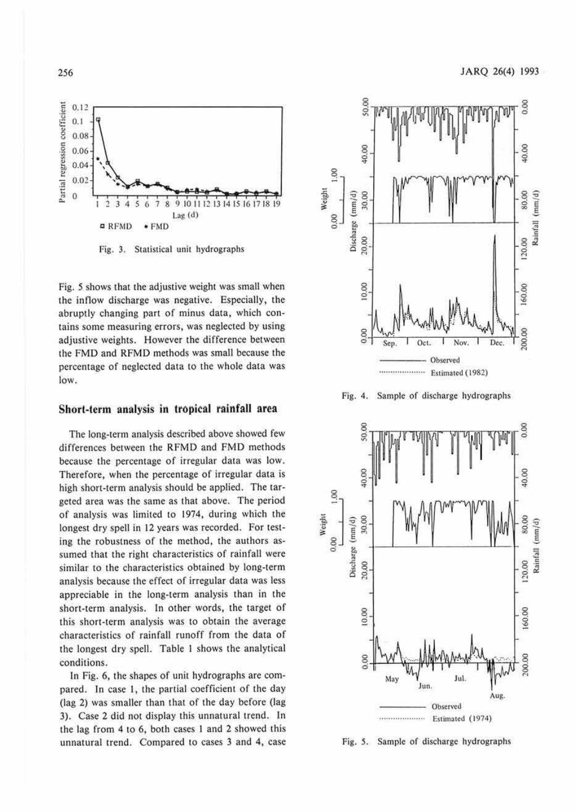

Fig. 3. Statistical unit hydrographs

Fig. 5 shows that the adjustive weight was small when the inflow discharge was negative. Especially, the abruptly changing part of minus data, which contains some measuring errors, was neglected by using adjustive weights. However the difference between the FMD and RFMD methods was small because the percentage of neglected data to the whole data was low.

# Short-term analysis in tropical rainfall area

The long-term analysis described above showed few differences between the RFMD and FMD methods because the percentage of irregular data was low. Therefore, when the percentage of irregular data is high short-term analysis should be applied. The targeted area was the same as that above. The period of analysis was limited to 1974, during which the longest dry spell in 12 years was recorded. For testing the robustness of the method, the authors assumed that the right characteristics of rainfall were similar to the characteristics obtained by long-term analysis because the effect of irregular data was less appreciable in the long-term analysis than in the short-term analysis. In other words, the target of this short-term analysis was to obtain the average characteristics of rainfall runoff from the data of the longest dry spell. Table 1 shows the analytical conditions.

In Fig. 6, the shapes of unit hydrographs are compared. In case 1, the partial coefficient of the day (lag 2) was smaller than that of the day before (lag 3). Case 2 did not display this unnatural trend. In the lag from 4 to 6, both cases 1 and 2 showed this unnatural trend. Compared to cases 3 and 4, case



Fig. 4. Sample of discharge hydrographs



Fig. 5. Sample of discharge hydrographs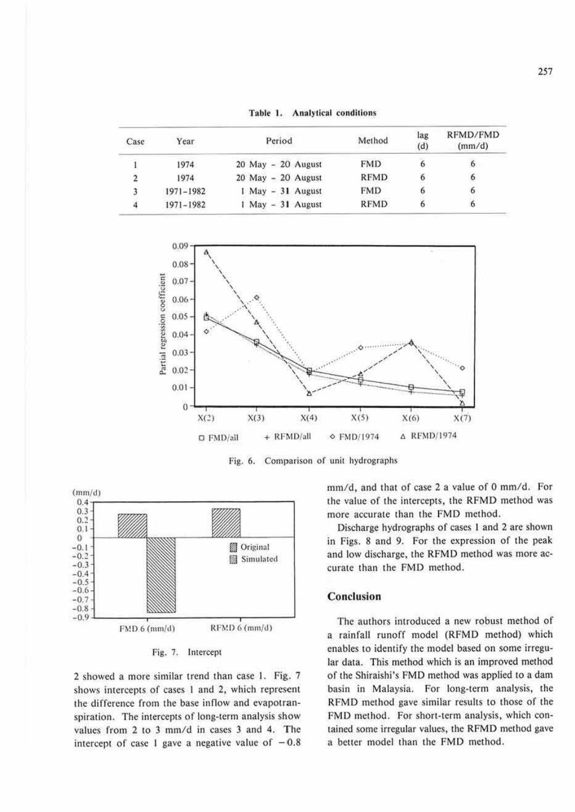| Case | Year          | Period                 | Method      | lag<br>(d) | RFMD/FMD<br>(mm/d) |
|------|---------------|------------------------|-------------|------------|--------------------|
|      | 1974          | 20 May - 20 August     | <b>FMD</b>  | 6          | $\ddot{\sigma}$    |
|      | 1974          | $20$ May $-$ 20 August | <b>RFMD</b> | 6          | 6                  |
|      | $1971 - 1982$ | 1 May - 31 August      | <b>FMD</b>  | o          | 6                  |
| 4    | 1971-1982     | $1$ May $-31$ August   | <b>RFMD</b> |            | 6                  |





Fig. 6. Comparison of unit hydrographs



Fig. 7. Intercept

2 showed a more similar trend than case I. Fig.. 7 shows intercepts of cases I and 2, which represem the difference from the base inflow and evapotranspiration. The intercepts of long-term analysis show values from 2 to 3 mm/d in cases 3 and 4. The intercept of case 1 gave a negative value of  $-0.8$  mm/d, and that of case 2 a value of 0 mm/d. For the value of the intercepts, the RFMD method was more accurate than the FMD method.

Discharge hydrographs of cases I and 2 arc shown in Figs. 8 and 9. For the expression of the peak and low discharge, the RFMD method was more accurate than the FMD method.

## **Conclusion**

The authors imroduced a new robust method of a rainfall runoff model (RFMD method) which enables to idemify the model based on some irregular data. This method which is an improved method of the Shiraishi's FMD method was applied to a dam basin in Malaysia. For long-term analysis, the RFMD method gave similar results to those of the FMD method. For short-term analysis, which contained some irregular values, the RFMD method gave a better model than the FMD method.